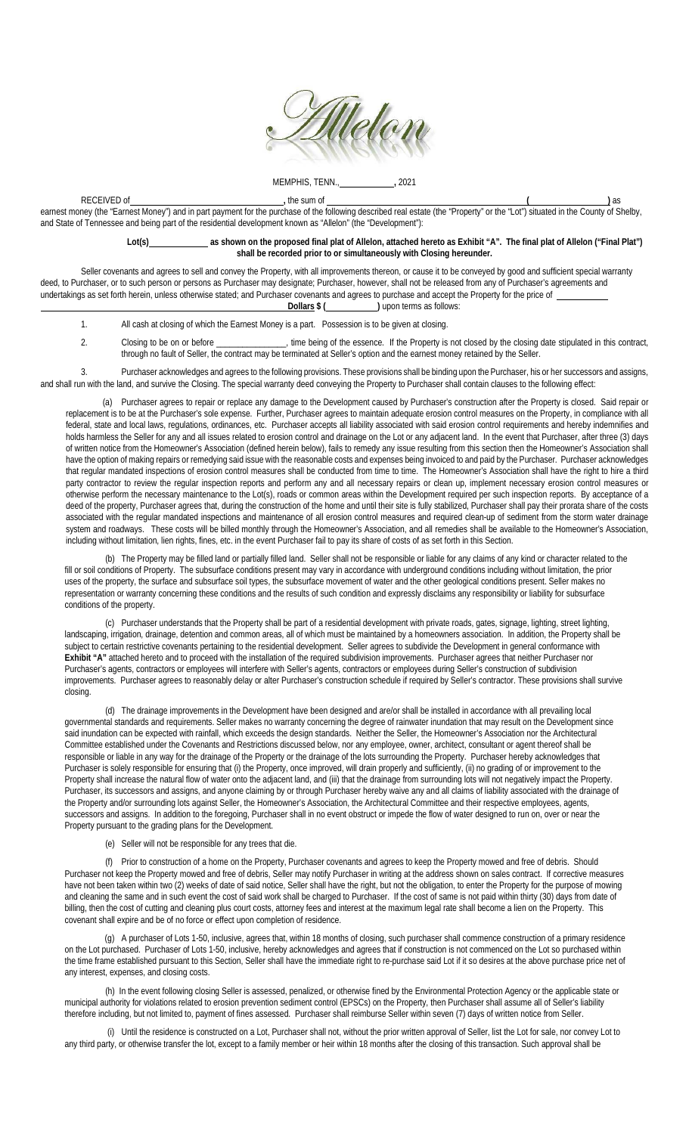

MEMPHIS, TENN., **,** 2021

RECEIVED of **,** the sum of **( )** as earnest money (the "Earnest Money") and in part payment for the purchase of the following described real estate (the "Property" or the "Lot") situated in the County of Shelby, and State of Tennessee and being part of the residential development known as "Allelon" (the "Development"):

> **Lot(s) as shown on the proposed final plat of Allelon, attached hereto as Exhibit "A". The final plat of Allelon ("Final Plat") shall be recorded prior to or simultaneously with Closing hereunder.**

Seller covenants and agrees to sell and convey the Property, with all improvements thereon, or cause it to be conveyed by good and sufficient special warranty deed, to Purchaser, or to such person or persons as Purchaser may designate; Purchaser, however, shall not be released from any of Purchaser's agreements and undertakings as set forth herein, unless otherwise stated; and Purchaser covenants and agrees to purchase and accept the Property for the price of **Dollars**  $$$  ( ) upon terms as follows:

1. All cash at closing of which the Earnest Money is a part. Possession is to be given at closing.

2. Closing to be on or before \_\_\_\_\_\_\_\_\_\_\_\_\_\_, time being of the essence. If the Property is not closed by the closing date stipulated in this contract, through no fault of Seller, the contract may be terminated at Seller's option and the earnest money retained by the Seller.

 3. Purchaser acknowledges and agrees to the following provisions. These provisions shall be binding upon the Purchaser, his or her successors and assigns, and shall run with the land, and survive the Closing. The special warranty deed conveying the Property to Purchaser shall contain clauses to the following effect:

 (a) Purchaser agrees to repair or replace any damage to the Development caused by Purchaser's construction after the Property is closed. Said repair or replacement is to be at the Purchaser's sole expense. Further, Purchaser agrees to maintain adequate erosion control measures on the Property, in compliance with all federal, state and local laws, regulations, ordinances, etc. Purchaser accepts all liability associated with said erosion control requirements and hereby indemnifies and holds harmless the Seller for any and all issues related to erosion control and drainage on the Lot or any adjacent land. In the event that Purchaser, after three (3) days of written notice from the Homeowner's Association (defined herein below), fails to remedy any issue resulting from this section then the Homeowner's Association shall have the option of making repairs or remedying said issue with the reasonable costs and expenses being invoiced to and paid by the Purchaser. Purchaser acknowledges that regular mandated inspections of erosion control measures shall be conducted from time to time. The Homeowner's Association shall have the right to hire a third party contractor to review the regular inspection reports and perform any and all necessary repairs or clean up, implement necessary erosion control measures or otherwise perform the necessary maintenance to the Lot(s), roads or common areas within the Development required per such inspection reports. By acceptance of a deed of the property, Purchaser agrees that, during the construction of the home and until their site is fully stabilized, Purchaser shall pay their prorata share of the costs associated with the regular mandated inspections and maintenance of all erosion control measures and required clean-up of sediment from the storm water drainage system and roadways. These costs will be billed monthly through the Homeowner's Association, and all remedies shall be available to the Homeowner's Association, including without limitation, lien rights, fines, etc. in the event Purchaser fail to pay its share of costs of as set forth in this Section.

(b) The Property may be filled land or partially filled land. Seller shall not be responsible or liable for any claims of any kind or character related to the fill or soil conditions of Property. The subsurface conditions present may vary in accordance with underground conditions including without limitation, the prior uses of the property, the surface and subsurface soil types, the subsurface movement of water and the other geological conditions present. Seller makes no representation or warranty concerning these conditions and the results of such condition and expressly disclaims any responsibility or liability for subsurface conditions of the property.

(c) Purchaser understands that the Property shall be part of a residential development with private roads, gates, signage, lighting, street lighting, landscaping, irrigation, drainage, detention and common areas, all of which must be maintained by a homeowners association. In addition, the Property shall be subject to certain restrictive covenants pertaining to the residential development. Seller agrees to subdivide the Development in general conformance with **Exhibit "A"** attached hereto and to proceed with the installation of the required subdivision improvements. Purchaser agrees that neither Purchaser nor Purchaser's agents, contractors or employees will interfere with Seller's agents, contractors or employees during Seller's construction of subdivision improvements. Purchaser agrees to reasonably delay or alter Purchaser's construction schedule if required by Seller's contractor. These provisions shall survive closing.

(d) The drainage improvements in the Development have been designed and are/or shall be installed in accordance with all prevailing local governmental standards and requirements. Seller makes no warranty concerning the degree of rainwater inundation that may result on the Development since said inundation can be expected with rainfall, which exceeds the design standards. Neither the Seller, the Homeowner's Association nor the Architectural Committee established under the Covenants and Restrictions discussed below, nor any employee, owner, architect, consultant or agent thereof shall be responsible or liable in any way for the drainage of the Property or the drainage of the lots surrounding the Property. Purchaser hereby acknowledges that Purchaser is solely responsible for ensuring that (i) the Property, once improved, will drain properly and sufficiently, (ii) no grading of or improvement to the Property shall increase the natural flow of water onto the adjacent land, and (iii) that the drainage from surrounding lots will not negatively impact the Property. Purchaser, its successors and assigns, and anyone claiming by or through Purchaser hereby waive any and all claims of liability associated with the drainage of the Property and/or surrounding lots against Seller, the Homeowner's Association, the Architectural Committee and their respective employees, agents, successors and assigns. In addition to the foregoing, Purchaser shall in no event obstruct or impede the flow of water designed to run on, over or near the Property pursuant to the grading plans for the Development.

(e) Seller will not be responsible for any trees that die.

(f) Prior to construction of a home on the Property, Purchaser covenants and agrees to keep the Property mowed and free of debris. Should Purchaser not keep the Property mowed and free of debris, Seller may notify Purchaser in writing at the address shown on sales contract. If corrective measures have not been taken within two (2) weeks of date of said notice, Seller shall have the right, but not the obligation, to enter the Property for the purpose of mowing and cleaning the same and in such event the cost of said work shall be charged to Purchaser. If the cost of same is not paid within thirty (30) days from date of billing, then the cost of cutting and cleaning plus court costs, attorney fees and interest at the maximum legal rate shall become a lien on the Property. This covenant shall expire and be of no force or effect upon completion of residence.

 (g) A purchaser of Lots 1-50, inclusive, agrees that, within 18 months of closing, such purchaser shall commence construction of a primary residence on the Lot purchased. Purchaser of Lots 1-50, inclusive, hereby acknowledges and agrees that if construction is not commenced on the Lot so purchased within the time frame established pursuant to this Section, Seller shall have the immediate right to re-purchase said Lot if it so desires at the above purchase price net of any interest, expenses, and closing costs.

(h) In the event following closing Seller is assessed, penalized, or otherwise fined by the Environmental Protection Agency or the applicable state or municipal authority for violations related to erosion prevention sediment control (EPSCs) on the Property, then Purchaser shall assume all of Seller's liability therefore including, but not limited to, payment of fines assessed. Purchaser shall reimburse Seller within seven (7) days of written notice from Seller.

(i) Until the residence is constructed on a Lot, Purchaser shall not, without the prior written approval of Seller, list the Lot for sale, nor convey Lot to any third party, or otherwise transfer the lot, except to a family member or heir within 18 months after the closing of this transaction. Such approval shall be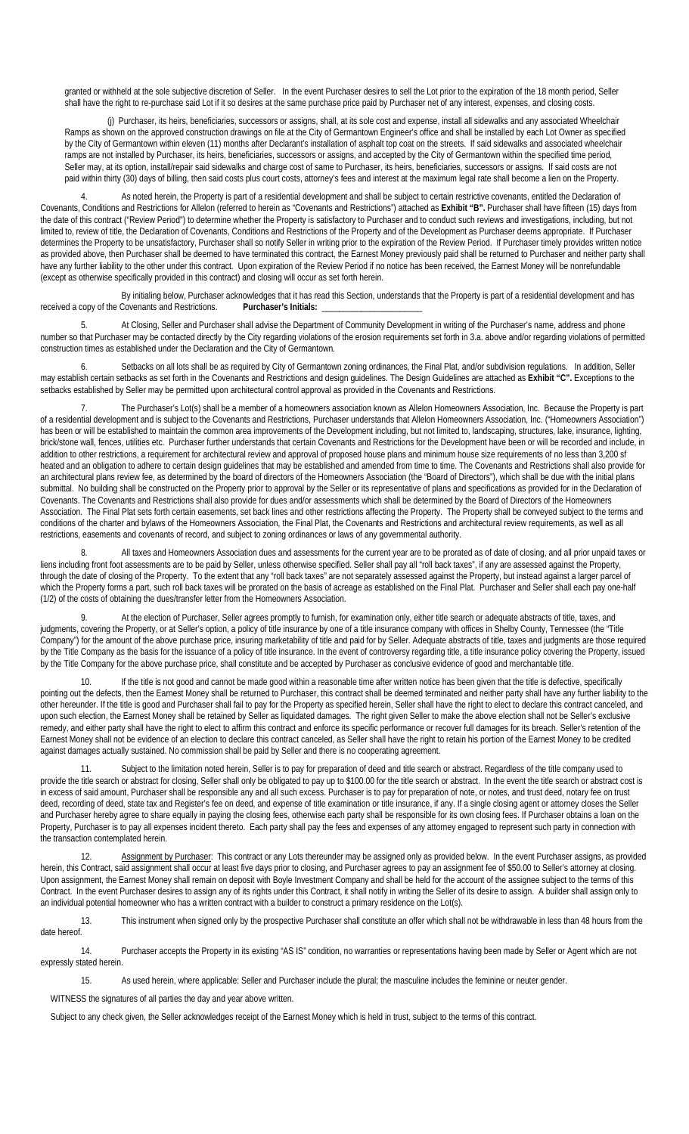granted or withheld at the sole subjective discretion of Seller. In the event Purchaser desires to sell the Lot prior to the expiration of the 18 month period, Seller shall have the right to re-purchase said Lot if it so desires at the same purchase price paid by Purchaser net of any interest, expenses, and closing costs.

(j) Purchaser, its heirs, beneficiaries, successors or assigns, shall, at its sole cost and expense, install all sidewalks and any associated Wheelchair Ramps as shown on the approved construction drawings on file at the City of Germantown Engineer's office and shall be installed by each Lot Owner as specified by the City of Germantown within eleven (11) months after Declarant's installation of asphalt top coat on the streets. If said sidewalks and associated wheelchair ramps are not installed by Purchaser, its heirs, beneficiaries, successors or assigns, and accepted by the City of Germantown within the specified time period, Seller may, at its option, install/repair said sidewalks and charge cost of same to Purchaser, its heirs, beneficiaries, successors or assigns. If said costs are not paid within thirty (30) days of billing, then said costs plus court costs, attorney's fees and interest at the maximum legal rate shall become a lien on the Property.

As noted herein, the Property is part of a residential development and shall be subject to certain restrictive covenants, entitled the Declaration of Covenants, Conditions and Restrictions for Allelon (referred to herein as "Covenants and Restrictions") attached as **Exhibit "B".** Purchaser shall have fifteen (15) days from the date of this contract ("Review Period") to determine whether the Property is satisfactory to Purchaser and to conduct such reviews and investigations, including, but not limited to, review of title, the Declaration of Covenants, Conditions and Restrictions of the Property and of the Development as Purchaser deems appropriate. If Purchaser determines the Property to be unsatisfactory, Purchaser shall so notify Seller in writing prior to the expiration of the Review Period. If Purchaser timely provides written notice as provided above, then Purchaser shall be deemed to have terminated this contract, the Earnest Money previously paid shall be returned to Purchaser and neither party shall have any further liability to the other under this contract. Upon expiration of the Review Period if no notice has been received, the Earnest Money will be nonrefundable (except as otherwise specifically provided in this contract) and closing will occur as set forth herein.

By initialing below, Purchaser acknowledges that it has read this Section, understands that the Property is part of a residential development and has<br>Covenants and Restrictions. Purchaser's Initials: received a copy of the Covenants and Restrictions.

 5. At Closing, Seller and Purchaser shall advise the Department of Community Development in writing of the Purchaser's name, address and phone number so that Purchaser may be contacted directly by the City regarding violations of the erosion requirements set forth in 3.a. above and/or regarding violations of permitted construction times as established under the Declaration and the City of Germantown.

Setbacks on all lots shall be as required by City of Germantown zoning ordinances, the Final Plat, and/or subdivision regulations. In addition, Seller may establish certain setbacks as set forth in the Covenants and Restrictions and design guidelines. The Design Guidelines are attached as **Exhibit "C".** Exceptions to the setbacks established by Seller may be permitted upon architectural control approval as provided in the Covenants and Restrictions.

 7. The Purchaser's Lot(s) shall be a member of a homeowners association known as Allelon Homeowners Association, Inc. Because the Property is part of a residential development and is subject to the Covenants and Restrictions, Purchaser understands that Allelon Homeowners Association, Inc. ("Homeowners Association") has been or will be established to maintain the common area improvements of the Development including, but not limited to, landscaping, structures, lake, insurance, lighting, brick/stone wall, fences, utilities etc. Purchaser further understands that certain Covenants and Restrictions for the Development have been or will be recorded and include, in addition to other restrictions, a requirement for architectural review and approval of proposed house plans and minimum house size requirements of no less than 3,200 sf heated and an obligation to adhere to certain design guidelines that may be established and amended from time to time. The Covenants and Restrictions shall also provide for an architectural plans review fee, as determined by the board of directors of the Homeowners Association (the "Board of Directors"), which shall be due with the initial plans submittal. No building shall be constructed on the Property prior to approval by the Seller or its representative of plans and specifications as provided for in the Declaration of Covenants. The Covenants and Restrictions shall also provide for dues and/or assessments which shall be determined by the Board of Directors of the Homeowners Association. The Final Plat sets forth certain easements, set back lines and other restrictions affecting the Property. The Property shall be conveyed subject to the terms and conditions of the charter and bylaws of the Homeowners Association, the Final Plat, the Covenants and Restrictions and architectural review requirements, as well as all restrictions, easements and covenants of record, and subject to zoning ordinances or laws of any governmental authority.

8. All taxes and Homeowners Association dues and assessments for the current year are to be prorated as of date of closing, and all prior unpaid taxes or liens including front foot assessments are to be paid by Seller, unless otherwise specified. Seller shall pay all "roll back taxes", if any are assessed against the Property, through the date of closing of the Property. To the extent that any "roll back taxes" are not separately assessed against the Property, but instead against a larger parcel of which the Property forms a part, such roll back taxes will be prorated on the basis of acreage as established on the Final Plat. Purchaser and Seller shall each pay one-half (1/2) of the costs of obtaining the dues/transfer letter from the Homeowners Association.

9. At the election of Purchaser, Seller agrees promptly to furnish, for examination only, either title search or adequate abstracts of title, taxes, and judgments, covering the Property, or at Seller's option, a policy of title insurance by one of a title insurance company with offices in Shelby County, Tennessee (the "Title Company") for the amount of the above purchase price, insuring marketability of title and paid for by Seller. Adequate abstracts of title, taxes and judgments are those required by the Title Company as the basis for the issuance of a policy of title insurance. In the event of controversy regarding title, a title insurance policy covering the Property, issued by the Title Company for the above purchase price, shall constitute and be accepted by Purchaser as conclusive evidence of good and merchantable title.

10. If the title is not good and cannot be made good within a reasonable time after written notice has been given that the title is defective, specifically pointing out the defects, then the Earnest Money shall be returned to Purchaser, this contract shall be deemed terminated and neither party shall have any further liability to the other hereunder. If the title is good and Purchaser shall fail to pay for the Property as specified herein, Seller shall have the right to elect to declare this contract canceled, and upon such election, the Earnest Money shall be retained by Seller as liquidated damages. The right given Seller to make the above election shall not be Seller's exclusive remedy, and either party shall have the right to elect to affirm this contract and enforce its specific performance or recover full damages for its breach. Seller's retention of the Earnest Money shall not be evidence of an election to declare this contract canceled, as Seller shall have the right to retain his portion of the Earnest Money to be credited against damages actually sustained. No commission shall be paid by Seller and there is no cooperating agreement.

11. Subject to the limitation noted herein, Seller is to pay for preparation of deed and title search or abstract. Regardless of the title company used to provide the title search or abstract for closing, Seller shall only be obligated to pay up to \$100.00 for the title search or abstract. In the event the title search or abstract cost is in excess of said amount, Purchaser shall be responsible any and all such excess. Purchaser is to pay for preparation of note, or notes, and trust deed, notary fee on trust deed, recording of deed, state tax and Register's fee on deed, and expense of title examination or title insurance, if any. If a single closing agent or attorney closes the Seller and Purchaser hereby agree to share equally in paying the closing fees, otherwise each party shall be responsible for its own closing fees. If Purchaser obtains a loan on the Property, Purchaser is to pay all expenses incident thereto. Each party shall pay the fees and expenses of any attorney engaged to represent such party in connection with the transaction contemplated herein.

12. Assignment by Purchaser: This contract or any Lots thereunder may be assigned only as provided below. In the event Purchaser assigns, as provided herein, this Contract, said assignment shall occur at least five days prior to closing, and Purchaser agrees to pay an assignment fee of \$50.00 to Seller's attorney at closing. Upon assignment, the Earnest Money shall remain on deposit with Boyle Investment Company and shall be held for the account of the assignee subject to the terms of this Contract. In the event Purchaser desires to assign any of its rights under this Contract, it shall notify in writing the Seller of its desire to assign. A builder shall assign only to an individual potential homeowner who has a written contract with a builder to construct a primary residence on the Lot(s).

13. This instrument when signed only by the prospective Purchaser shall constitute an offer which shall not be withdrawable in less than 48 hours from the date hereof.

 14. Purchaser accepts the Property in its existing "AS IS" condition, no warranties or representations having been made by Seller or Agent which are not expressly stated herein.

15. As used herein, where applicable: Seller and Purchaser include the plural; the masculine includes the feminine or neuter gender.

WITNESS the signatures of all parties the day and year above written.

Subject to any check given, the Seller acknowledges receipt of the Earnest Money which is held in trust, subject to the terms of this contract.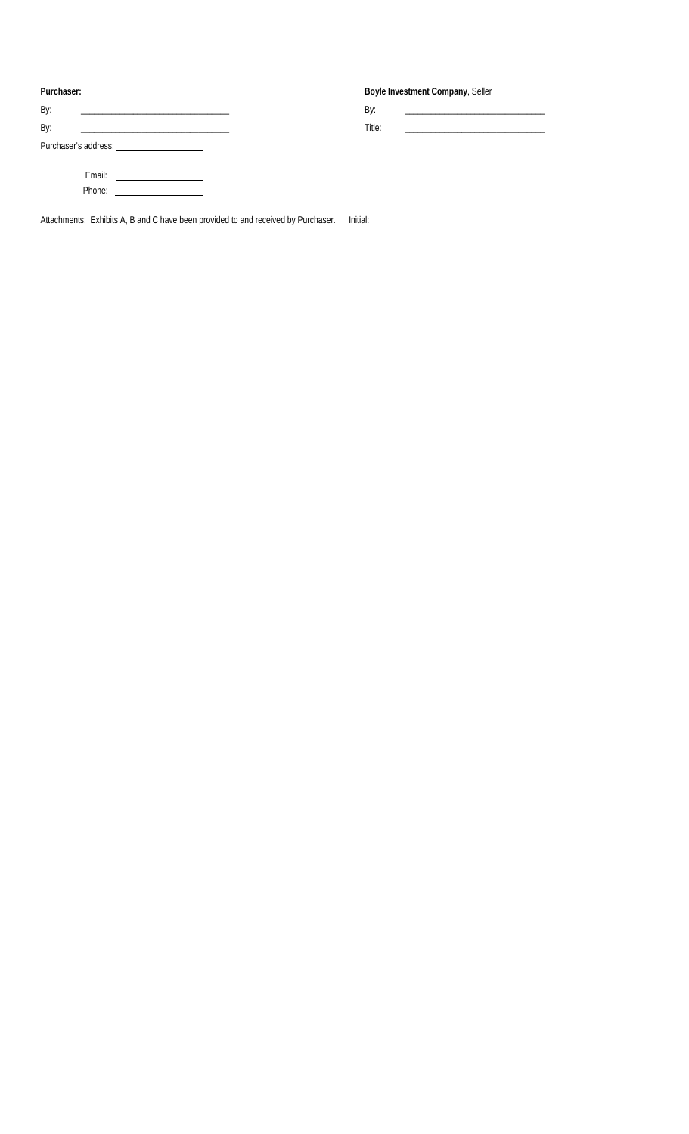| Purchaser:                                                   | Boyle Investment Company, Seller                           |
|--------------------------------------------------------------|------------------------------------------------------------|
| By:                                                          | By:                                                        |
| By:                                                          | Title:<br>the control of the control of the control of the |
|                                                              |                                                            |
| Email:<br>Phone:<br><u> 1980 - Jan Sarajević, politik po</u> |                                                            |

Attachments: Exhibits A, B and C have been provided to and received by Purchaser. Initial: \_\_\_\_\_\_\_\_\_\_\_\_\_\_\_\_\_\_\_